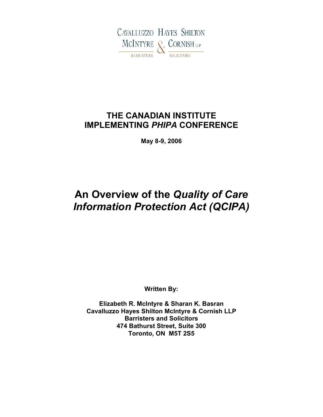

## **THE CANADIAN INSTITUTE IMPLEMENTING** *PHIPA* **CONFERENCE**

**May 8-9, 2006**

# **An Overview of the** *Quality of Care Information Protection Act (QCIPA)*

**Written By:**

**Elizabeth R. McIntyre & Sharan K. Basran Cavalluzzo Hayes Shilton McIntyre & Cornish LLP Barristers and Solicitors 474 Bathurst Street, Suite 300 Toronto, ON M5T 2S5**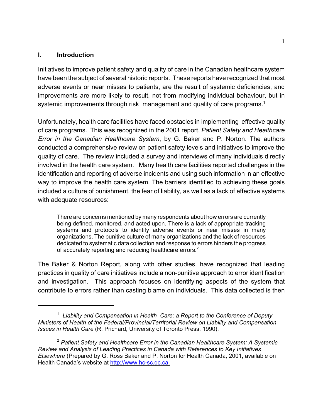#### **I. Introduction**

Initiatives to improve patient safety and quality of care in the Canadian healthcare system have been the subject of several historic reports. These reports have recognized that most adverse events or near misses to patients, are the result of systemic deficiencies, and improvements are more likely to result, not from modifying individual behaviour, but in systemic improvements through risk management and quality of care programs.<sup>1</sup>

Unfortunately, health care facilities have faced obstacles in implementing effective quality of care programs. This was recognized in the 2001 report, *Patient Safety and Healthcare Error in the Canadian Healthcare System*, by G. Baker and P. Norton. The authors conducted a comprehensive review on patient safety levels and initiatives to improve the quality of care. The review included a survey and interviews of many individuals directly involved in the health care system. Many health care facilities reported challenges in the identification and reporting of adverse incidents and using such information in an effective way to improve the health care system. The barriers identified to achieving these goals included a culture of punishment, the fear of liability, as well as a lack of effective systems with adequate resources:

There are concerns mentioned by many respondents about how errors are currently being defined, monitored, and acted upon. There is a lack of appropriate tracking systems and protocols to identify adverse events or near misses in many organizations. The punitive culture of many organizations and the lack of resources dedicated to systematic data collection and response to errors hinders the progress of accurately reporting and reducing healthcare errors.<sup>2</sup>

The Baker & Norton Report, along with other studies, have recognized that leading practices in quality of care initiatives include a non-punitive approach to error identification and investigation. This approach focuses on identifying aspects of the system that contribute to errors rather than casting blame on individuals. This data collected is then

<sup>1</sup> *Liability and Compensation in Health Care: a Report to the Conference of Deputy Ministers of Health of the Federal/Provincial/Territorial Review on Liability and Compensation Issues in Health Care* (R. Prichard, University of Toronto Press, 1990).

<sup>2</sup> *Patient Safety and Healthcare Error in the Canadian Healthcare System: A Systemic Review and Analysis of Leading Practices in Canada with References to Key Initiatives Elsewhere* (Prepared by G. Ross Baker and P. Norton for Health Canada, 2001, available on Health Canada's website at http://www.hc-sc.gc.ca.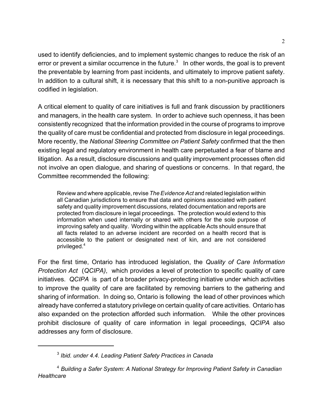used to identify deficiencies, and to implement systemic changes to reduce the risk of an error or prevent a similar occurrence in the future.<sup>3</sup> In other words, the goal is to prevent the preventable by learning from past incidents, and ultimately to improve patient safety. In addition to a cultural shift, it is necessary that this shift to a non-punitive approach is codified in legislation.

A critical element to quality of care initiatives is full and frank discussion by practitioners and managers, in the health care system. In order to achieve such openness, it has been consistently recognized that the information provided in the course of programs to improve the quality of care must be confidential and protected from disclosure in legal proceedings. More recently, the *National Steering Committee on Patient Safety* confirmed that the then existing legal and regulatory environment in health care perpetuated a fear of blame and litigation. As a result, disclosure discussions and quality improvement processes often did not involve an open dialogue, and sharing of questions or concerns. In that regard, the Committee recommended the following:

Review and where applicable, revise *The Evidence Act* and related legislation within all Canadian jurisdictions to ensure that data and opinions associated with patient safety and quality improvement discussions, related documentation and reports are protected from disclosure in legal proceedings. The protection would extend to this information when used internally or shared with others for the sole purpose of improving safety and quality. Wording within the applicable Acts should ensure that all facts related to an adverse incident are recorded on a health record that is accessible to the patient or designated next of kin, and are not considered privileged.<sup>4</sup>

For the first time, Ontario has introduced legislation, the *Quality of Care Information Protection Act* (*QCIPA)*, which provides a level of protection to specific quality of care initiatives. *QCIPA* is part of a broader privacy-protecting initiative under which activities to improve the quality of care are facilitated by removing barriers to the gathering and sharing of information. In doing so, Ontario is following the lead of other provinces which already have conferred a statutory privilege on certain quality of care activities. Ontario has also expanded on the protection afforded such information. While the other provinces prohibit disclosure of quality of care information in legal proceedings, *QCIPA* also addresses any form of disclosure.

<sup>3</sup> *Ibid. under 4.4. Leading Patient Safety Practices in Canada* 

<sup>4</sup> *Building a Safer System: A National Strategy for Improving Patient Safety in Canadian Healthcare*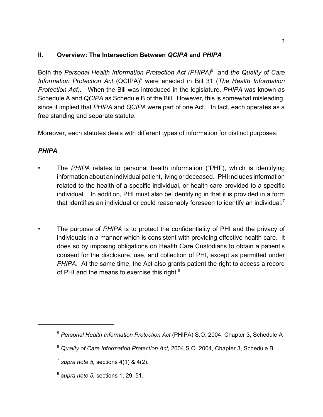### **II. Overview: The Intersection Between** *QCIPA* **and** *PHIPA*

Both the *Personal Health Information Protection Act (PHIPA)*<sup>5</sup> and *the Quality of Care Information Protection Act* (QCIPA)<sup>6</sup> were enacted in Bill 31 (*The Health Information Protection Act).* When the Bill was introduced in the legislature, *PHIPA* was known as Schedule A and *QCIPA* as Schedule B of the Bill. However, this is somewhat misleading, since it implied that *PHIPA* and *QCIPA* were part of one Act. In fact, each operates as a free standing and separate statute.

Moreover, each statutes deals with different types of information for distinct purposes:

### *PHIPA*

- The *PHIPA* relates to personal health information ("PHI"), which is identifying information about an individual patient, living or deceased. PHI includes information related to the health of a specific individual, or health care provided to a specific individual. In addition, PHI must also be identifying in that it is provided in a form that identifies an individual or could reasonably foreseen to identify an individual.<sup>7</sup>
- The purpose of *PHIPA* is to protect the confidentiality of PHI and the privacy of individuals in a manner which is consistent with providing effective health care. It does so by imposing obligations on Health Care Custodians to obtain a patient's consent for the disclosure, use, and collection of PHI, except as permitted under *PHIPA*. At the same time, the Act also grants patient the right to access a record of PHI and the means to exercise this right. $8$

<sup>5</sup> *Personal Health Information Protection Act* (PHIPA) S.O. 2004, Chapter 3, Schedule A

<sup>6</sup> *Quality of Care Information Protection Act,* 2004 S.O. 2004, Chapter 3, Schedule B

<sup>7</sup> *supra note 5,* sections 4(1) & 4(2).

<sup>8</sup> *supra note 5,* sections 1, 29, 51.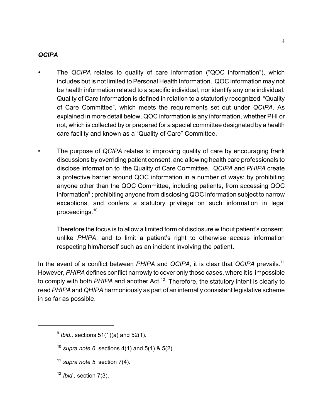### *QCIPA*

- *•* The *QCIPA* relates to quality of care information ("QOC information"), which includes but is not limited to Personal Health Information. QOC information may not be health information related to a specific individual, nor identify any one individual. Quality of Care Information is defined in relation to a statutorily recognized "Quality of Care Committee", which meets the requirements set out under *QCIPA*. As explained in more detail below, QOC information is any information, whether PHI or not, which is collected by or prepared for a special committee designated by a health care facility and known as a "Quality of Care" Committee.
- The purpose of *QCIPA* relates to improving quality of care by encouraging frank discussions by overriding patient consent, and allowing health care professionals to disclose information to the Quality of Care Committee. *QCIPA* and *PHIPA* create a protective barrier around QOC information in a number of ways: by prohibiting anyone other than the QOC Committee, including patients, from accessing QOC information $^9$  ; prohibiting anyone from disclosing QOC information subject to narrow exceptions, and confers a statutory privilege on such information in legal proceedings.<sup>10</sup>

Therefore the focus is to allow a limited form of disclosure without patient's consent, unlike *PHIPA*, and to limit a patient's right to otherwise access information respecting him/herself such as an incident involving the patient.

In the event of a conflict between *PHIPA* and *QCIPA,* it is clear that *QCIPA* prevails.<sup>11</sup> However, *PHIPA* defines conflict narrowly to cover only those cases, where it is impossible to comply with both *PHIPA* and another Act.<sup>12</sup> Therefore, the statutory intent is clearly to read *PHIPA* and *QHIPA* harmoniously as part of an internally consistent legislative scheme in so far as possible.

- $11$  *supra note 5*, section 7(4).
- <sup>12</sup> *Ibid.,* section 7(3).

<sup>9</sup> *Ibid.,* sections 51(1)(a) and 52(1).

<sup>&</sup>lt;sup>10</sup> *supra note 6*, sections  $4(1)$  and  $5(1)$  &  $5(2)$ .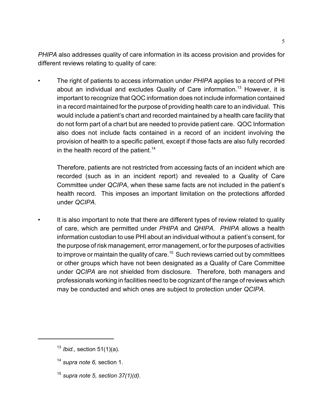*PHIPA* also addresses quality of care information in its access provision and provides for different reviews relating to quality of care:

• The right of patients to access information under *PHIPA* applies to a record of PHI about an individual and excludes Quality of Care information.<sup>13</sup> However, it is important to recognize that QOC information does not include information contained in a record maintained for the purpose of providing health care to an individual. This would include a patient's chart and recorded maintained by a health care facility that do not form part of a chart but are needed to provide patient care. QOC Information also does not include facts contained in a record of an incident involving the provision of health to a specific patient, except if those facts are also fully recorded in the health record of the patient.<sup>14</sup>

Therefore, patients are not restricted from accessing facts of an incident which are recorded (such as in an incident report) and revealed to a Quality of Care Committee under *QCIPA*, when these same facts are not included in the patient's health record. This imposes an important limitation on the protections afforded under *QCIPA.* 

It is also important to note that there are different types of review related to quality of care, which are permitted under *PHIPA* and *QHIPA. PHIPA* allows a health information custodian to use PHI about an individual without a patient's consent, for the purpose of risk management, error management, or for the purposes of activities to improve or maintain the quality of care.<sup>15</sup> Such reviews carried out by committees or other groups which have not been designated as a Quality of Care Committee under *QCIPA* are not shielded from disclosure*.* Therefore, both managers and professionals working in facilities need to be cognizant of the range of reviews which may be conducted and which ones are subject to protection under *QCIPA.*

<sup>15</sup> *supra note 5, section 37(1)(d)*.

<sup>13</sup> *Ibid.,* section 51(1)(a).

<sup>14</sup> *supra note 6,* section 1.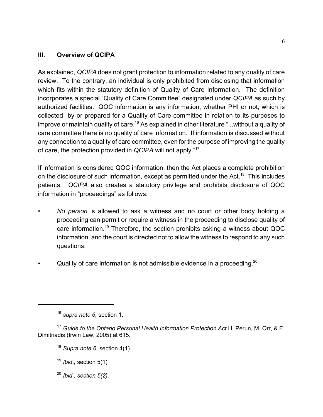### **III. Overview of QCIPA**

As explained, *QCIPA* does not grant protection to information related to any quality of care review. To the contrary, an individual is only prohibited from disclosing that information which fits within the statutory definition of Quality of Care Information. The definition incorporates a special "Quality of Care Committee" designated under *QCIPA* as such by authorized facilities. QOC information is any information, whether PHI or not, which is collected by or prepared for a Quality of Care committee in relation to its purposes to improve or maintain quality of care.<sup>16</sup> As explained in other literature "...without a quality of care committee there is no quality of care information. If information is discussed without any connection to a quality of care committee, even for the purpose of improving the quality of care, the protection provided in *QCIPA* will not apply."<sup>17</sup>

If information is considered QOC information, then the Act places a complete prohibition on the disclosure of such information, except as permitted under the Act.<sup>18</sup> This includes patients. *QCIPA* also creates a statutory privilege and prohibits disclosure of QOC information in "proceedings" as follows:

- *No person* is allowed to ask a witness and no court or other body holding a proceeding can permit or require a witness in the proceeding to disclose quality of care information.19 Therefore, the section prohibits asking a witness about QOC information, and the court is directed not to allow the witness to respond to any such questions;
- Quality of care information is not admissible evidence in a proceeding.<sup>20</sup>

<sup>20</sup> *Ibid., section 5(2).* 

<sup>16</sup> *supra note 6,* section 1.

<sup>&</sup>lt;sup>17</sup> Guide to the Ontario Personal Health Information Protection Act H. Perun, M. Orr, & F. Dimitriadis (Irwin Law, 2005) at 615.

<sup>18</sup> *Supra note 6,* section 4(1).

<sup>19</sup> *Ibid.,* section 5(1)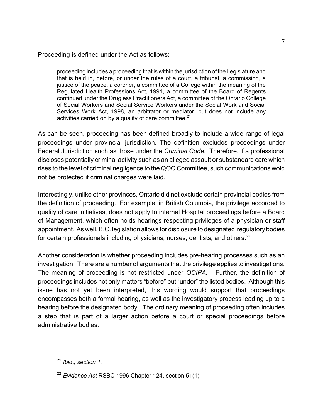Proceeding is defined under the Act as follows:

proceeding includes a proceeding that is within the jurisdiction of the Legislature and that is held in, before, or under the rules of a court, a tribunal, a commission, a justice of the peace, a coroner, a committee of a College within the meaning of the Regulated Health Professions Act, 1991, a committee of the Board of Regents continued under the Drugless Practitioners Act, a committee of the Ontario College of Social Workers and Social Service Workers under the Social Work and Social Services Work Act, 1998, an arbitrator or mediator, but does not include any activities carried on by a quality of care committee. $21$ 

As can be seen, proceeding has been defined broadly to include a wide range of legal proceedings under provincial jurisdiction. The definition excludes proceedings under Federal Jurisdiction such as those under the *Criminal Code*. Therefore, if a professional discloses potentially criminal activity such as an alleged assault or substandard care which rises to the level of criminal negligence to the QOC Committee, such communications wold not be protected if criminal charges were laid.

Interestingly, unlike other provinces, Ontario did not exclude certain provincial bodies from the definition of proceeding. For example, in British Columbia, the privilege accorded to quality of care initiatives, does not apply to internal Hospital proceedings before a Board of Management, which often holds hearings respecting privileges of a physician or staff appointment. As well, B.C. legislation allows for disclosure to designated regulatory bodies for certain professionals including physicians, nurses, dentists, and others.<sup>22</sup>

Another consideration is whether proceeding includes pre-hearing processes such as an investigation. There are a number of arguments that the privilege applies to investigations. The meaning of proceeding is not restricted under *QCIPA.* Further, the definition of proceedings includes not only matters "before" but "under" the listed bodies. Although this issue has not yet been interpreted, this wording would support that proceedings encompasses both a formal hearing, as well as the investigatory process leading up to a hearing before the designated body. The ordinary meaning of proceeding often includes a step that is part of a larger action before a court or special proceedings before administrative bodies.

<sup>21</sup> *Ibid., section 1.* 

<sup>22</sup> *Evidence Act* RSBC 1996 Chapter 124, section 51(1).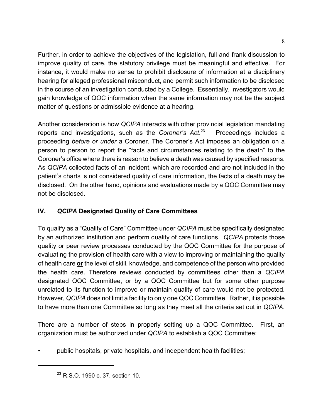Further, in order to achieve the objectives of the legislation, full and frank discussion to improve quality of care, the statutory privilege must be meaningful and effective. For instance, it would make no sense to prohibit disclosure of information at a disciplinary hearing for alleged professional misconduct, and permit such information to be disclosed in the course of an investigation conducted by a College. Essentially, investigators would gain knowledge of QOC information when the same information may not be the subject matter of questions or admissible evidence at a hearing.

Another consideration is how *QCIPA* interacts with other provincial legislation mandating reports and investigations, such as the *Coroner's Act*. Proceedings includes a proceeding *before or under* a Coroner*.* The Coroner's Act imposes an obligation on a person to person to report the "facts and circumstances relating to the death" to the Coroner's office where there is reason to believe a death was caused by specified reasons. As *QCIPA* collected facts of an incident, which are recorded and are not included in the patient's charts is not considered quality of care information, the facts of a death may be disclosed. On the other hand, opinions and evaluations made by a QOC Committee may not be disclosed.

### **IV.** *QCIPA* **Designated Quality of Care Committees**

To qualify as a "Quality of Care" Committee under *QCIPA* must be specifically designated by an authorized institution and perform quality of care functions. *QCIPA* protects those quality or peer review processes conducted by the QOC Committee for the purpose of evaluating the provision of health care with a view to improving or maintaining the quality of health care **or** the level of skill, knowledge, and competence of the person who provided the health care. Therefore reviews conducted by committees other than a *QCIPA* designated QOC Committee, or by a QOC Committee but for some other purpose unrelated to its function to improve or maintain quality of care would not be protected. However, *QCIPA* does not limit a facility to only one QOC Committee. Rather, it is possible to have more than one Committee so long as they meet all the criteria set out in *QCIPA.*

There are a number of steps in properly setting up a QOC Committee. First, an organization must be authorized under *QCIPA* to establish a QOC Committee:

• public hospitals, private hospitals, and independent health facilities;

<sup>&</sup>lt;sup>23</sup> R.S.O. 1990 c. 37, section 10.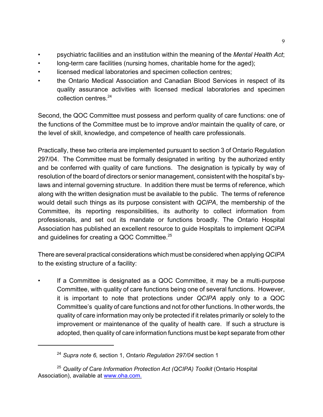- psychiatric facilities and an institution within the meaning of the *Mental Health Act*;
- long-term care facilities (nursing homes, charitable home for the aged);
- licensed medical laboratories and specimen collection centres;
- the Ontario Medical Association and Canadian Blood Services in respect of its quality assurance activities with licensed medical laboratories and specimen collection centres.<sup>24</sup>

Second, the QOC Committee must possess and perform quality of care functions: one of the functions of the Committee must be to improve and/or maintain the quality of care, or the level of skill, knowledge, and competence of health care professionals.

Practically, these two criteria are implemented pursuant to section 3 of Ontario Regulation 297/04. The Committee must be formally designated in writing by the authorized entity and be conferred with quality of care functions. The designation is typically by way of resolution of the board of directors or senior management, consistent with the hospital's bylaws and internal governing structure. In addition there must be terms of reference, which along with the written designation must be available to the public. The terms of reference would detail such things as its purpose consistent with *QCIPA*, the membership of the Committee, its reporting responsibilities, its authority to collect information from professionals, and set out its mandate or functions broadly. The Ontario Hospital Association has published an excellent resource to guide Hospitals to implement *QCIPA* and guidelines for creating a QOC Committee.<sup>25</sup>

There are several practical considerations which must be considered when applying *QCIPA* to the existing structure of a facility:

If a Committee is designated as a QOC Committee, it may be a multi-purpose Committee, with quality of care functions being one of several functions. However, it is important to note that protections under *QCIPA* apply only to a QOC Committee's quality of care functions and not for other functions. In other words, the quality of care information may only be protected if it relates primarily or solely to the improvement or maintenance of the quality of health care. If such a structure is adopted, then quality of care information functions must be kept separate from other

<sup>24</sup> *Supra note 6,* section 1, *Ontario Regulation 297/04* section 1

<sup>25</sup> *Quality of Care Information Protection Act (QCIPA) Toolkit* (Ontario Hospital Association), available at www.oha.com.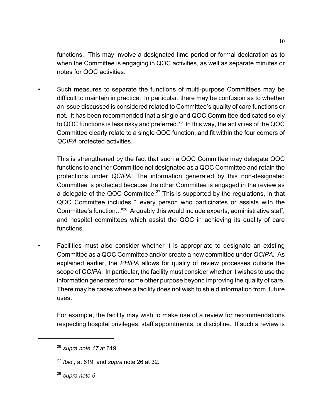functions. This may involve a designated time period or formal declaration as to when the Committee is engaging in QOC activities, as well as separate minutes or notes for QOC activities.

• Such measures to separate the functions of multi-purpose Committees may be difficult to maintain in practice. In particular, there may be confusion as to whether an issue discussed is considered related to Committee's quality of care functions or not. It has been recommended that a single and QOC Committee dedicated solely to QOC functions is less risky and preferred.<sup>26</sup> In this way, the activities of the QOC Committee clearly relate to a single QOC function, and fit within the four corners of *QCIPA* protected activities.

This is strengthened by the fact that such a QOC Committee may delegate QOC functions to another Committee not designated as a QOC Committee and retain the protections under *QCIPA*. The information generated by this non-designated Committee is protected because the other Committee is engaged in the review as a delegate of the QOC Committee.<sup>27</sup> This is supported by the regulations, in that QOC Committee includes "..every person who participates or assists with the Committee's function..."28 Arguably this would include experts, administrative staff, and hospital committees which assist the QOC in achieving its quality of care functions.

Facilities must also consider whether it is appropriate to designate an existing Committee as a QOC Committee and/or create a new committee under *QCIPA.* As explained earlier, the *PHIPA* allows for quality of review processes outside the scope of *QCIPA*. In particular, the facility must consider whether it wishes to use the information generated for some other purpose beyond improving the quality of care. There may be cases where a facility does not wish to shield information from future uses.

For example, the facility may wish to make use of a review for recommendations respecting hospital privileges, staff appointments, or discipline. If such a review is

<sup>28</sup> *supra note 6*

<sup>26</sup> *supra note 17* at 619.

<sup>27</sup> *Ibid.,* at 619, and *supra* note 26 at 32.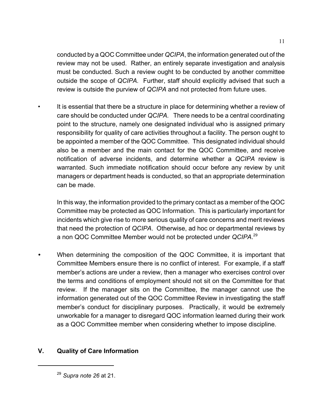conducted by a QOC Committee under *QCIPA*, the information generated out of the review may not be used. Rather, an entirely separate investigation and analysis must be conducted. Such a review ought to be conducted by another committee outside the scope of *QCIPA.* Further, staff should explicitly advised that such a review is outside the purview of *QCIPA* and not protected from future uses.

It is essential that there be a structure in place for determining whether a review of care should be conducted under *QCIPA.* There needs to be a central coordinating point to the structure, namely one designated individual who is assigned primary responsibility for quality of care activities throughout a facility. The person ought to be appointed a member of the QOC Committee. This designated individual should also be a member and the main contact for the QOC Committee, and receive notification of adverse incidents, and determine whether a *QCIPA* review is warranted. Such immediate notification should occur before any review by unit managers or department heads is conducted, so that an appropriate determination can be made.

In this way, the information provided to the primary contact as a member of the QOC Committee may be protected as QOC Information. This is particularly important for incidents which give rise to more serious quality of care concerns and merit reviews that need the protection of *QCIPA*. Otherwise, ad hoc or departmental reviews by a non QOC Committee Member would not be protected under *QCIPA*. 29

*•* When determining the composition of the QOC Committee, it is important that Committee Members ensure there is no conflict of interest. For example, if a staff member's actions are under a review, then a manager who exercises control over the terms and conditions of employment should not sit on the Committee for that review. If the manager sits on the Committee, the manager cannot use the information generated out of the QOC Committee Review in investigating the staff member's conduct for disciplinary purposes. Practically, it would be extremely unworkable for a manager to disregard QOC information learned during their work as a QOC Committee member when considering whether to impose discipline.

### **V. Quality of Care Information**

<sup>29</sup> *Supra note 26* at 21.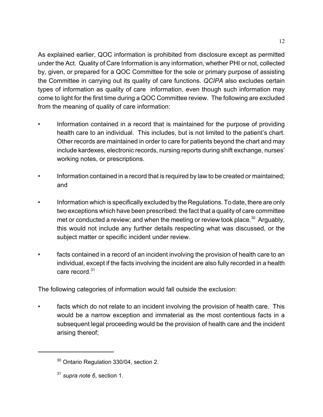As explained earlier, QOC information is prohibited from disclosure except as permitted under the Act. Quality of Care Information is any information, whether PHI or not, collected by, given, or prepared for a QOC Committee for the sole or primary purpose of assisting the Committee in carrying out its quality of care functions. *QCIPA* also excludes certain types of information as quality of care information, even though such information may come to light for the first time during a QOC Committee review. The following are excluded from the meaning of quality of care information:

- Information contained in a record that is maintained for the purpose of providing health care to an individual. This includes, but is not limited to the patient's chart. Other records are maintained in order to care for patients beyond the chart and may include kardexes, electronic records, nursing reports during shift exchange, nurses' working notes, or prescriptions.
- Information contained in a record that is required by law to be created or maintained; and
- Information which is specifically excluded by the Regulations. To date, there are only two exceptions which have been prescribed: the fact that a quality of care committee met or conducted a review; and when the meeting or review took place.<sup>30</sup> Arguably, this would not include any further details respecting what was discussed, or the subject matter or specific incident under review.
- facts contained in a record of an incident involving the provision of health care to an individual, except if the facts involving the incident are also fully recorded in a health care record.<sup>31</sup>

The following categories of information would fall outside the exclusion:

facts which do not relate to an incident involving the provision of health care. This would be a narrow exception and immaterial as the most contentious facts in a subsequent legal proceeding would be the provision of health care and the incident arising thereof;

<sup>&</sup>lt;sup>30</sup> Ontario Regulation 330/04, section 2.

<sup>31</sup> *supra note 6*, section 1.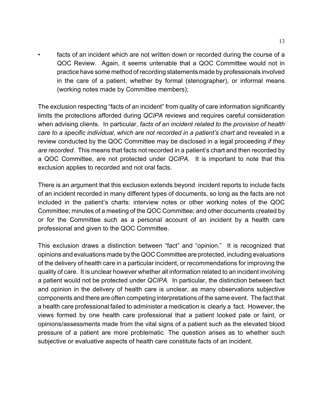facts of an incident which are not written down or recorded during the course of a QOC Review. Again, it seems untenable that a QOC Committee would not in practice have some method of recording statements made by professionals involved in the care of a patient, whether by formal (stenographer), or informal means (working notes made by Committee members);

The exclusion respecting "facts of an incident" from quality of care information significantly limits the protections afforded during *QCIPA* reviews and requires careful consideration when advising clients. In particular, *facts of an incident related to the provision of health care to a specific individual*, *which are not recorded in a patient's chart* and revealed in a review conducted by the QOC Committee may be disclosed in a legal proceeding *if they are recorded*. This means that facts not recorded in a patient's chart and then recorded by a QOC Committee, are not protected under *QCIPA*. It is important to note that this exclusion applies to recorded and not oral facts.

There is an argument that this exclusion extends beyond incident reports to include facts of an incident recorded in many different types of documents, so long as the facts are not included in the patient's charts: interview notes or other working notes of the QOC Committee; minutes of a meeting of the QOC Committee; and other documents created by or for the Committee such as a personal account of an incident by a health care professional and given to the QOC Committee.

This exclusion draws a distinction between "fact" and "opinion." It is recognized that opinions and evaluations made by the QOC Committee are protected, including evaluations of the delivery of health care in a particular incident, or recommendations for improving the quality of care. It is unclear however whether all information related to an incident involving a patient would not be protected under *QCIPA.* In particular, the distinction between fact and opinion in the delivery of health care is unclear, as many observations subjective components and there are often competing interpretations of the same event. The fact that a health care professional failed to administer a medication is clearly a fact. However, the views formed by one health care professional that a patient looked pale or faint, or opinions/assessments made from the vital signs of a patient such as the elevated blood pressure of a patient are more problematic. The question arises as to whether such subjective or evaluative aspects of health care constitute facts of an incident.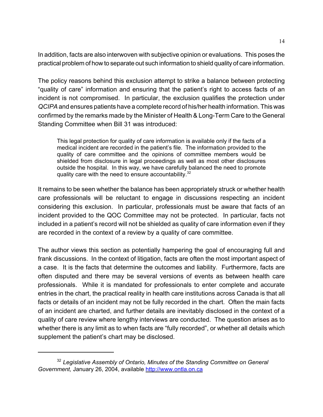In addition, facts are also interwoven with subjective opinion or evaluations. This poses the practical problem of how to separate out such information to shield quality of care information.

The policy reasons behind this exclusion attempt to strike a balance between protecting "quality of care" information and ensuring that the patient's right to access facts of an incident is not compromised. In particular, the exclusion qualifies the protection under *QCIPA* and ensures patients have a complete record of his/her health information. This was confirmed by the remarks made by the Minister of Health & Long-Term Care to the General Standing Committee when Bill 31 was introduced:

This legal protection for quality of care information is available only if the facts of a medical incident are recorded in the patient's file. The information provided to the quality of care committee and the opinions of committee members would be shielded from disclosure in legal proceedings as well as most other disclosures outside the hospital. In this way, we have carefully balanced the need to promote quality care with the need to ensure accountability.<sup>32</sup>

It remains to be seen whether the balance has been appropriately struck or whether health care professionals will be reluctant to engage in discussions respecting an incident considering this exclusion. In particular, professionals must be aware that facts of an incident provided to the QOC Committee may not be protected. In particular, facts not included in a patient's record will not be shielded as quality of care information even if they are recorded in the context of a review by a quality of care committee.

The author views this section as potentially hampering the goal of encouraging full and frank discussions. In the context of litigation, facts are often the most important aspect of a case. It is the facts that determine the outcomes and liability. Furthermore, facts are often disputed and there may be several versions of events as between health care professionals. While it is mandated for professionals to enter complete and accurate entries in the chart, the practical reality in health care institutions across Canada is that all facts or details of an incident may not be fully recorded in the chart. Often the main facts of an incident are charted, and further details are inevitably disclosed in the context of a quality of care review where lengthy interviews are conducted. The question arises as to whether there is any limit as to when facts are "fully recorded", or whether all details which supplement the patient's chart may be disclosed.

<sup>32</sup> *Legislative Assembly of Ontario, Minutes of the Standing Committee on General Government,* January 26, 2004, available http://www.ontla.on.ca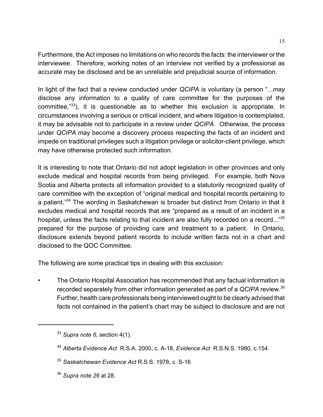Furthermore, the Act imposes no limitations on who records the facts: the interviewer or the interviewee. Therefore, working notes of an interview not verified by a professional as accurate may be disclosed and be an unreliable and prejudicial source of information.

In light of the fact that a review conducted under *QCIPA* is voluntary (a person "...*may* disclose any information to a quality of care committee for the purposes of the committee,"33), it is questionable as to whether this exclusion is appropriate. In circumstances involving a serious or critical incident, and where litigation is contemplated, it may be advisable not to participate in a review under *QCIPA*. Otherwise, the process under *QCIPA* may become a discovery process respecting the facts of an incident and impede on traditional privileges such a litigation privilege or solicitor-client privilege, which may have otherwise protected such information.

It is interesting to note that Ontario did not adopt legislation in other provinces and only exclude medical and hospital records from being privileged. For example, both Nova Scotia and Alberta protects all information provided to a statutorily recognized quality of care committee with the exception of "original medical and hospital records pertaining to a patient."34 The wording in Saskatchewan is broader but distinct from Ontario in that it excludes medical and hospital records that are "prepared as a result of an incident in a hospital, unless the facts relating to that incident are also fully recorded on a record..."<sup>35</sup> prepared for the purpose of providing care and treatment to a patient. In Ontario, disclosure extends beyond patient records to include written facts not in a chart and disclosed to the QOC Committee.

The following are some practical tips in dealing with this exclusion:

• The Ontario Hospital Association has recommended that any factual information is recorded separately from other information generated as part of a *QCIPA* review.<sup>36</sup> Further, health care professionals being interviewed ought to be clearly advised that facts not contained in the patient's chart may be subject to disclosure and are not

<sup>36</sup> *Supra note 26* at 28.

<sup>33</sup> *Supra note 6*, section 4(1).

<sup>34</sup> *Alberta Evidence Act* R.S.A. 2000, c. A-18, *Evidence Act* R.S.N.S. 1980, c.154.

<sup>35</sup> *Saskatchewan Evidence Act* R.S.S. 1978, c. S-16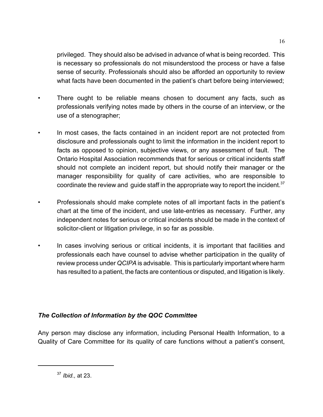privileged. They should also be advised in advance of what is being recorded. This is necessary so professionals do not misunderstood the process or have a false sense of security. Professionals should also be afforded an opportunity to review what facts have been documented in the patient's chart before being interviewed;

- There ought to be reliable means chosen to document any facts, such as professionals verifying notes made by others in the course of an interview, or the use of a stenographer;
- In most cases, the facts contained in an incident report are not protected from disclosure and professionals ought to limit the information in the incident report to facts as opposed to opinion, subjective views, or any assessment of fault. The Ontario Hospital Association recommends that for serious or critical incidents staff should not complete an incident report, but should notify their manager or the manager responsibility for quality of care activities, who are responsible to coordinate the review and guide staff in the appropriate way to report the incident.  $37$
- Professionals should make complete notes of all important facts in the patient's chart at the time of the incident, and use late-entries as necessary. Further, any independent notes for serious or critical incidents should be made in the context of solicitor-client or litigation privilege, in so far as possible.
- In cases involving serious or critical incidents, it is important that facilities and professionals each have counsel to advise whether participation in the quality of review process under *QCIPA* is advisable. This is particularly important where harm has resulted to a patient, the facts are contentious or disputed, and litigation is likely.

### *The Collection of Information by the QOC Committee*

Any person may disclose any information, including Personal Health Information, to a Quality of Care Committee for its quality of care functions without a patient's consent,

<sup>37</sup> *Ibid.,* at 23.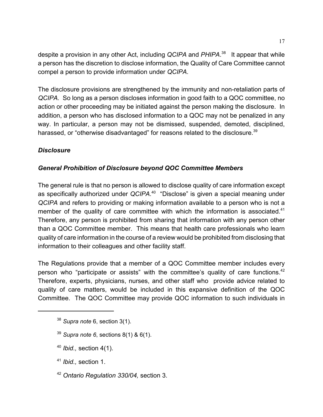despite a provision in any other Act, including *QCIPA* and *PHIPA*. 38 It appear that while a person has the discretion to disclose information, the Quality of Care Committee cannot compel a person to provide information under *QCIPA*.

The disclosure provisions are strengthened by the immunity and non-retaliation parts of *QCIPA.* So long as a person discloses information in good faith to a QOC committee, no action or other proceeding may be initiated against the person making the disclosure. In addition, a person who has disclosed information to a QOC may not be penalized in any way. In particular, a person may not be dismissed, suspended, demoted, disciplined, harassed, or "otherwise disadvantaged" for reasons related to the disclosure.<sup>39</sup>

### *Disclosure*

### *General Prohibition of Disclosure beyond QOC Committee Members*

The general rule is that no person is allowed to disclose quality of care information except as specifically authorized under *QCIPA*. 40 "Disclose" is given a special meaning under *QCIPA* and refers to providing or making information available to a person who is not a member of the quality of care committee with which the information is associated.<sup>41</sup> Therefore, any person is prohibited from sharing that information with any person other than a QOC Committee member. This means that health care professionals who learn quality of care information in the course of a review would be prohibited from disclosing that information to their colleagues and other facility staff.

The Regulations provide that a member of a QOC Committee member includes every person who "participate or assists" with the committee's quality of care functions.<sup>42</sup> Therefore, experts, physicians, nurses, and other staff who provide advice related to quality of care matters, would be included in this expansive definition of the QOC Committee. The QOC Committee may provide QOC information to such individuals in

- <sup>39</sup> *Supra note 6*, sections 8(1) & 6(1).
- <sup>40</sup> *Ibid.,* section 4(1).
- <sup>41</sup> *Ibid.,* section 1.
- <sup>42</sup> *Ontario Regulation 330/04,* section 3.

<sup>38</sup> *Supra note* 6, section 3(1).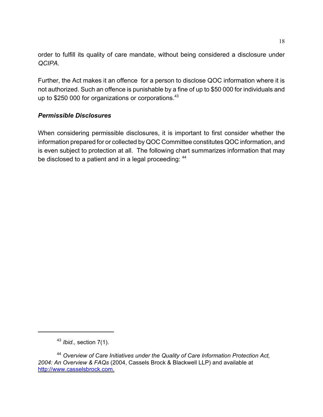order to fulfill its quality of care mandate, without being considered a disclosure under *QCIPA.* 

Further, the Act makes it an offence for a person to disclose QOC information where it is not authorized. Such an offence is punishable by a fine of up to \$50 000 for individuals and up to \$250 000 for organizations or corporations.<sup>43</sup>

### *Permissible Disclosures*

When considering permissible disclosures, it is important to first consider whether the information prepared for or collected by QOC Committee constitutes QOC information, and is even subject to protection at all. The following chart summarizes information that may be disclosed to a patient and in a legal proceeding:  $44$ 

<sup>43</sup> *Ibid.,* section 7(1).

<sup>44</sup> *Overview of Care Initiatives under the Quality of Care Information Protection Act, 2004: An Overview & FAQs* (2004, Cassels Brock & Blackwell LLP) and available at http://www.casselsbrock.com.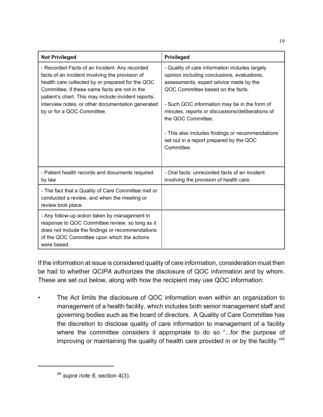| <b>Not Privileged</b>                                                                                                                                                                                                                                                                                                                           | <b>Privileged</b>                                                                                                                                                                                                                                                                                                                                                                                                   |
|-------------------------------------------------------------------------------------------------------------------------------------------------------------------------------------------------------------------------------------------------------------------------------------------------------------------------------------------------|---------------------------------------------------------------------------------------------------------------------------------------------------------------------------------------------------------------------------------------------------------------------------------------------------------------------------------------------------------------------------------------------------------------------|
| - Recorded Facts of an Incident: Any recorded<br>facts of an incident involving the provision of<br>health care collected by or prepared for the QOC<br>Committee, if these same facts are not in the<br>patient's chart. This may include incident reports,<br>interview notes, or other documentation generated<br>by or for a QOC Committee. | - Quality of care information includes largely<br>opinion including conclusions, evaluations,<br>assessments, expert advice made by the<br>QOC Committee based on the facts.<br>- Such QOC information may be in the form of<br>minutes, reports or discussions/deliberations of<br>the QOC Committee.<br>- This also includes findings or recommendations<br>set out in a report prepared by the QOC<br>Committee. |
| - Patient health records and documents required<br>by law                                                                                                                                                                                                                                                                                       | - Oral facts: unrecorded facts of an incident<br>involving the provision of health care.                                                                                                                                                                                                                                                                                                                            |
| - The fact that a Quality of Care Committee met or<br>conducted a review, and when the meeting or<br>review took place.                                                                                                                                                                                                                         |                                                                                                                                                                                                                                                                                                                                                                                                                     |
| - Any follow-up action taken by management in<br>response to QOC Committee review, so long as it<br>does not include the findings or recommendations<br>of the QOC Committee upon which the actions<br>were based.                                                                                                                              |                                                                                                                                                                                                                                                                                                                                                                                                                     |

19

If the information at issue is considered quality of care information, consideration must then be had to whether *QCIPA* authorizes the disclosure of QOC information and by whom. These are set out below, along with how the recipient may use QOC information:

The Act limits the disclosure of QOC information even within an organization to management of a health facility, which includes both senior management staff and governing bodies such as the board of directors. A Quality of Care Committee has the discretion to disclose quality of care information to management of a facility where the committee considers it appropriate to do so "...for the purpose of improving or maintaining the quality of health care provided in or by the facility."45

<sup>45</sup> *supra note 6*, section 4(3).